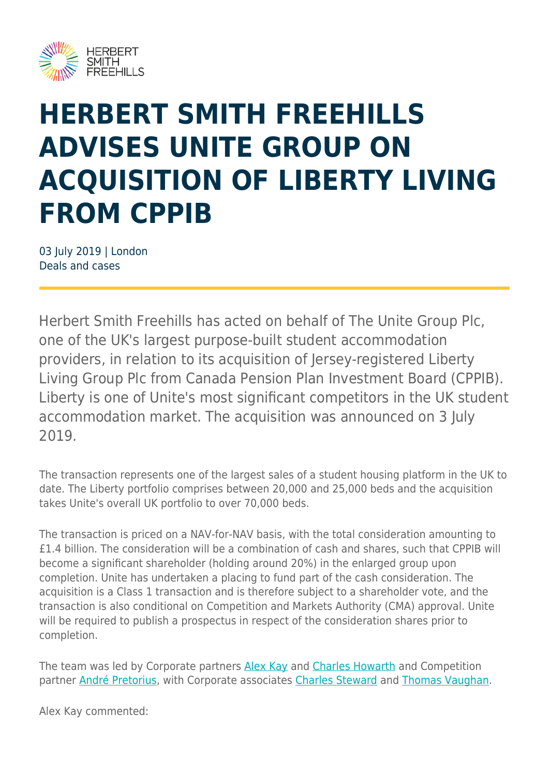

## **HERBERT SMITH FREEHILLS ADVISES UNITE GROUP ON ACQUISITION OF LIBERTY LIVING FROM CPPIB**

03 July 2019 | London Deals and cases

Herbert Smith Freehills has acted on behalf of The Unite Group Plc, one of the UK's largest purpose-built student accommodation providers, in relation to its acquisition of Jersey-registered Liberty Living Group Plc from Canada Pension Plan Investment Board (CPPIB). Liberty is one of Unite's most significant competitors in the UK student accommodation market. The acquisition was announced on 3 July 2019.

The transaction represents one of the largest sales of a student housing platform in the UK to date. The Liberty portfolio comprises between 20,000 and 25,000 beds and the acquisition takes Unite's overall UK portfolio to over 70,000 beds.

The transaction is priced on a NAV-for-NAV basis, with the total consideration amounting to £1.4 billion. The consideration will be a combination of cash and shares, such that CPPIB will become a significant shareholder (holding around 20%) in the enlarged group upon completion. Unite has undertaken a placing to fund part of the cash consideration. The acquisition is a Class 1 transaction and is therefore subject to a shareholder vote, and the transaction is also conditional on Competition and Markets Authority (CMA) approval. Unite will be required to publish a prospectus in respect of the consideration shares prior to completion.

The team was led by Corporate partners [Alex Kay](https://www.herbertsmithfreehills.com/our-people/alex-kay) and [Charles Howarth](https://www.herbertsmithfreehills.com/our-people/charles-howarth) and Competition partner [André Pretorius,](https://www.herbertsmithfreehills.com/our-people/andr%C3%A9-pretorius) with Corporate associates [Charles Steward](https://www.herbertsmithfreehills.com/our-people/charles-steward) and [Thomas Vaughan](https://www.herbertsmithfreehills.com/our-people/thomas-vaughan).

Alex Kay commented: